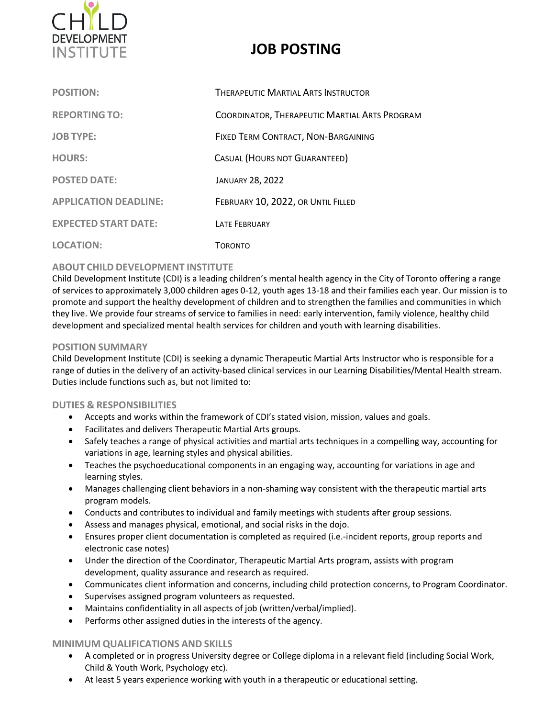

# **JOB POSTING**

| <b>POSITION:</b>             | <b>THERAPEUTIC MARTIAL ARTS INSTRUCTOR</b>    |
|------------------------------|-----------------------------------------------|
| <b>REPORTING TO:</b>         | COORDINATOR, THERAPEUTIC MARTIAL ARTS PROGRAM |
| <b>JOB TYPE:</b>             | FIXED TERM CONTRACT, NON-BARGAINING           |
| <b>HOURS:</b>                | CASUAL (HOURS NOT GUARANTEED)                 |
| <b>POSTED DATE:</b>          | <b>JANUARY 28, 2022</b>                       |
| <b>APPLICATION DEADLINE:</b> | FEBRUARY 10, 2022, OR UNTIL FILLED            |
| <b>EXPECTED START DATE:</b>  | <b>LATE FEBRUARY</b>                          |
| <b>LOCATION:</b>             | TORONTO                                       |

### **ABOUT CHILD DEVELOPMENT INSTITUTE**

Child Development Institute (CDI) is a leading children's mental health agency in the City of Toronto offering a range of services to approximately 3,000 children ages 0‐12, youth ages 13-18 and their families each year. Our mission is to promote and support the healthy development of children and to strengthen the families and communities in which they live. We provide four streams of service to families in need: early intervention, family violence, healthy child development and specialized mental health services for children and youth with learning disabilities.

#### **POSITION SUMMARY**

Child Development Institute (CDI) is seeking a dynamic Therapeutic Martial Arts Instructor who is responsible for a range of duties in the delivery of an activity-based clinical services in our Learning Disabilities/Mental Health stream. Duties include functions such as, but not limited to:

#### **DUTIES & RESPONSIBILITIES**

- Accepts and works within the framework of CDI's stated vision, mission, values and goals.
- Facilitates and delivers Therapeutic Martial Arts groups.
- Safely teaches a range of physical activities and martial arts techniques in a compelling way, accounting for variations in age, learning styles and physical abilities.
- Teaches the psychoeducational components in an engaging way, accounting for variations in age and learning styles.
- Manages challenging client behaviors in a non-shaming way consistent with the therapeutic martial arts program models.
- Conducts and contributes to individual and family meetings with students after group sessions.
- Assess and manages physical, emotional, and social risks in the dojo.
- Ensures proper client documentation is completed as required (i.e.-incident reports, group reports and electronic case notes)
- Under the direction of the Coordinator, Therapeutic Martial Arts program, assists with program development, quality assurance and research as required.
- Communicates client information and concerns, including child protection concerns, to Program Coordinator.
- Supervises assigned program volunteers as requested.
- Maintains confidentiality in all aspects of job (written/verbal/implied).
- Performs other assigned duties in the interests of the agency.

#### **MINIMUM QUALIFICATIONS AND SKILLS**

- A completed or in progress University degree or College diploma in a relevant field (including Social Work, Child & Youth Work, Psychology etc).
- At least 5 years experience working with youth in a therapeutic or educational setting.